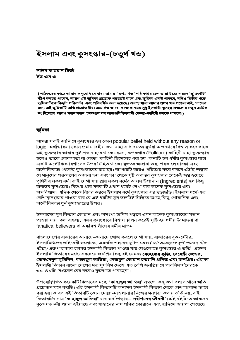# ইসলাম এবং কুসংস্কার-(চতুর্থ খন্ড)

সাঈদ কামরান মির্জা ইউ এস এ

(পাঠকদের কাছে আমার অনুরোধ যে যারা আমার 'প্রথম খন্ড 'পাঠ করিয়াছেন তারা ইচ্ছে করলে 'ভূমিকাটি' স্কীপ করতে পারেন, কারণ এই ভূমিকা প্রত্যেক খন্ডতেই যাবে এবং ভূমিকা একই থাকবে, যদিও দ্বিতীয় খন্ডে ভূমিকাটিকে কিছুটা পরিবর্তন এবং পরিবর্ধিত করা হয়েছে। অবশ্য যারা আমার প্রথম খন্ড পড়েন নাই, তাদের জন্য এই ভূমিকাটি অতি প্রয়োজনীয়। ক্রমাগত ভাবে প্রত্যেক খন্ডে সুধু ইসলামী কুসংস্কারগুলোর নতুন ক্রমিক নং হিসেবে আরও নতুন নতুন চমকপ্রদ সব আজগুবি ইসলামী কেচ্ছা-কাহিনী চলতে থাকবে।)

#### ভূমিকা

আমরা সবাই জানি যে কুসংস্কার হল কোন popular belief held without any reason or logic. অর্থাৎ কিনা কোন প্রমান বিহীন কথা যাহা সাধারনতঃ মুর্খরা অন্দ্ধভাবে বিশ্বাস করে থাকে। এই কুসংস্কার আবার দুই প্রকার হয়ে থাকে যেমন, রূপকথার (Folklore) কাহিনী যাহা কুসংস্কার হলেও তাকে লোকগাতা বা কেচ্ছা-কাহিনী হিসেবেই ধরা হয়। অন্যটি হল ধর্মীয় কুসংস্কার যাহা একটি অলৌকিক বিশ্বাসের উপর নিহিত থাকে। মুলতঃ অজানা ভয়, পরকালের চিন্তা এবং অলৌকিকতা থেকেই কুসংস্কারের জম্ন হয়। ব্যাপারটি আরও পরিস্কার করে বললে এটাই দাড়ায় যে মানুষের পরকালের অজানা ভয় এবং তা' থেকে সৃষ্ট অবাস্তব কুসংস্কার থেকেই জয়্ন হয়েছে পৃথিবীর সকল ধর্ম। তাই দেখা যায় প্রায় সকল ধর্মের আসল উপাদান (Ingredients) হল কিছু অবাস্তব কুসংস্কার। বিশ্বের প্রায় সবক'টি প্রধান ধর্মেই দেখা যায় অনেক কুসংস্কার এবং অন্ধবিশ্বাস। এদিক থেকে বিচার করলে ইসলাম ধর্মে কুসংস্কার এর ছড়াছড়ি। ইসলাম ধর্মে এত বেশি কুসংস্কার পাওয়া যায় যে এই ধর্মটির মুল স্তন্ডটিই দাঁড়িয়ে আছে কিছু পৌরানিক এবং অলৌকিকতাপুর্ন কুসংস্কারের উপর।

ইসলামের মুল কিতাব কোরান এবং অসংখ্য হাদিস পড়লে এমন অনেক কুসংস্কারের সন্ধান পাওয়া যায়। বলা বাহুল্য, এসব কুসংস্কারে বিশ্বাস স্থাপন করেই সৃষ্টি হয় ধর্মীয় উম্মাদনা বা fanatical believers বা অন্ধবিশ্বাসীদের ধর্মীয় মাতম।

বাংলাদেশের বাজারের আনাচে-কানাচে খোজ করলে দেখা যায়, বাজারের বুক-স্টোর, ইসলামিষ্টদের লাইব্রেরী গুলোতে, এমনকি শহরের ফুটপাতেও (*ফাতেমোল্লার ফুট পাতের চাঁদ তাঁরা)* এরুপ হাজার হাজার ইসলামী কিতাব পাওয়া যায় যেগুলোতে কুসংস্কার এ ভর্তি। এইসব ইসলামি কিতাবের মধ্যে সবচেয়ে জনপ্রিয় কিছু বই যেমনঃ বেহেন্তের কুঞ্জি, বেহেন্তী জেওর, মোকসেদুল মুমিনিন, কাছাছুল আম্বিয়া, নেয়ামুল কোরান ইত্যাদি প্রসিদ্ধ এবং জনপ্রিয়। এইসব ইসলামী কিতাব বাংলা দেশের মত মুসলিম দেশে এত বেশি জনপ্রিয় যে পাবলিসার্সদেরকে ৩০-৪০টি সংস্করন বের করেও কুলোতে পারছেনা।

উপরোল্লিখিত কয়েকটি কিতাবের মধ্যে '**কাছাছুল আম্বিয়া'** সম্বন্ধে কিছু কথা বলা এখানে অতি প্রয়োজন মনে করছি। এই ইসলামী কিতাবটি অন্যসব ইসলামী কিতাব থেকে বেশ আলাদা ভাবে ধরা হয়। কারণ এই কিতাবটি কোন মোল্লা-মাওলানার নিজের মনগড়া কথায় ভর্তি নয়; এই কিতাবটির নাম '**কাছাছুল আম্বিয়া'** যার অর্থ দাড়ায়–'**নবীগনের জীবনী**'। এই বইটিতে আরবের বুকে যত নবী পয়দা হইয়াছে এবং যাহাদের নাম পবিত্র কোরানে এবং হাদিসে জায়গা পেয়েছে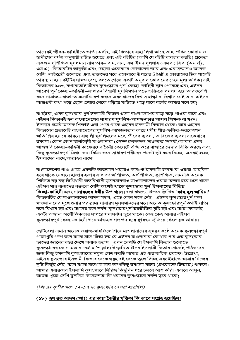তাদেরই জীবন-কাহিনীতে ভর্তি। অর্থাৎ, এই কিতাবে যাহা লিখা আছে তাহা পবিত্র কোরান ও হাদীসের বর্ণনা অনুযায়ী রচিত হয়েছে এবং এই বইটির (আমি যে বইটি ব্যবহার করছি) প্রনেতা একজন সুশিক্ষিত মুসলমান নাম তার– এম, এন, এম ইমদাদুললাহ (এম এ; বি এ (অনার্স); এম এ)। কিতাবটির আকৃতি এবং চেহারা একেবারে কোরানের ন্যায় এবং এর সম্মানও অনেক বেশি। লাইব্রেরী গুলোতে এবং ভক্তদের ঘরে একেবারে উপরের Shelf এ কোরানের ঠিক পাশেই তার স্থান হয়। বইটির দামও বেশ, বলতে গেলে একটি অনুবাদ কোরানের চেয়ে মুল্য অধিক। এই কিতাবের ৯০% কথাবার্তাই ভীষন কুসংস্কারে পুর্ন কেচ্ছা-কাহিনী স্থান পেয়েছে এবং এইসব আবেগ পুর্ন কেচ্ছা-কাহিনী–সাধারন বিশ্বাসী মুসলিমগন পড়ে ভক্তিতে গদগদ হয়ে আরওবেশি করে নামাজ-রোজাতে মনোনিবেশ করবে এবং যাদের বিশ্বাস হান্ধা বা বিশ্বাস নেই তারা এইসব আজগুবী কথা পড়ে হেসে চেয়ার থেকে গড়িয়ে মাটিতে পড়ে যাবে বলেই আমার মনে হয়!

যা হউক, এসব কুসংস্কার পুর্ন ইসলামী কিতাব গুলো বাংলাদেশের ঘড়ে ঘড়ে পাওয়া যাবে এবং এইসব কিতাবই হল বাংলাদেশের সাধারণ মুসলিম-আমজনতার আসল শিক্ষক বা গুরু। ইসলাম ধর্মের অনেক শিক্ষাই এরা পেয়ে থাকে এইসব ইসলামী কিতাব থেকে। আর এইসব কিতাবের প্রভাবেই বাংলাদেশের মুসলিম-আমজনতার কাছে ধর্মীয় পীর-ফকির-দরবেশগন অতি প্রিয় হয় যে কারনে বাঙ্গালী মুসলিমদের মধ্যে পীরের ব্যবসা, তাবিজের ব্যবসা একেবারে রমরমা। কোন কোন স্বার্থানেৃষী মাওলানারা (*যেমন রাজাকার-মাওলানা সাঈদী)* আবার এসব আজগুবি কেচ্ছা-কাহিনী কাফেরদের তৈরী কেসেটে বন্দ্ধি করে বাজারে দেদার বিক্রি করছে এবং কিছু কুসংস্কারপুর্ন মিথ্যা কথা বিক্রি করে সাধারণ গরীবের পকেট লুট করে নিচ্ছে। এসবই হচ্ছে ইসলামের নামে,আল্লাহর নামে!

বাংলাদেশের গাও-গ্রামে এমনকি আজকাল শহরেও অসংখ্য ইসলামি জলসা বা ওয়াজ-মাহফিল হয়ে থাকে যেখানে হাজার হজার সাধারণ অশিক্ষিত, অর্ধশিক্ষিত, কুশিক্ষিত, এমনকি অনেক শিক্ষিত বড় বড় ডিগ্রিধারী অন্ধবিশ্বাসী মুসলমানরাও মাওলানাদের ওয়াজ তম্ময় হয়ে শুনে থাকে। এইসব মাওলানাদের বক্তব্যে **বেশি অংশই থাকে কুসংস্কার পুর্ন ইসলামের বিভিন্ন** কিচ্ছা-কাহিনী এবং নানারঙ্গের ধর্মীয় উপাখ্যান। বলা বাহুল্য, উপরোল্লিখিত 'কাছাছুল আম্বিয়া' কিতাবটিই যে মাওলানাদের আসল সম্বল, এতে কোন সন্ধে নেই। এইসব কুসংস্কারপুর্ন গন্প মাওলানাদের মুখে শুনার পর গ্রাম্য সাধারণ মুসলমানদের মনে অনেক কুসংস্কারপুর্ন কথাই সত্যি বলে বিশ্বাস হয় এবং তাদের মনে সর্বদা কুসংস্কারপুর্ন ভয়ভীতির সৃষ্টি হয় এবং তারা সকলেই একটা অজানা অলৌকিকতার সাগরে সদাসর্বদা ডুবে থাকে। কেহ কেহ আবার এইসব কুসংস্কারপুর্ন কেচ্ছা-কাহিনী শুনে ভক্তিতে গদ গদ হয়ে ফুঁফিয়ে ফুঁফিয়ে কেঁদে বুক ভাষায়।

ছোটবেলা এমনি অনেক ওয়াজ-মাহফিলে গিয়ে মাওলানাদের সুমধুর কঠে অনেক কুসংস্কারপুর্ন গাজাখুরি গল্প শুনে মাঝে মাঝে চিন্তা হত যে এইসব মাওলানারা কোথায় পায় এত কুসংস্কার। তাদের জ্ঞানের বহর দেখে অবাক হতাম। এখন দেখছি যে ইসলামি কিতাব গুলোতে কুসংস্কারের কোন অভাব নেই মা'শাল্লাহ। উল্লেখিত ঔসব ইসলামী কিতাব থেকেই পাঠকদের জন্য কিছু ইসলামি কুসংস্কারের নমুনা পেশ করছি আমার এই ধারাবাহিক প্রবন্দ্ধে। উল্লেখ্য, এইসব কুসংস্কার ইসলামী কিতাব থেকে হুবুহ বই থেকে তুলে দিচ্ছি এবং ইহাতে আমার নিজের সৃষ্টি কিছুই নেই। তবে মাঝে মাঝে আমার অল্পকিছু রসালো মন্তব্য (*ব্রাকেটের ভিতরে )* থাকবে। আমার এবারকার ইসলামি কুসংস্কারে সিরিজ কিছুদিন ধরে চলবে আশ করি। এবারে আসুন, আমরা খুজে দেখি মুসলিম-আমজনতা কি ধরনের কুসংস্কারে সর্বদা ডুবে থাকে!

(বিঃ দ্রঃ তৃতীয় খন্ডে ১২-১৭ নং কুসংস্কার দেওয়া হয়েছিল)

#### (১৮) <u>হয রত আদম (আঃ) এর কায়া তৈরীর মৃত্তিকা কি ভাবে সংগ্রহ হয়েছিল।</u>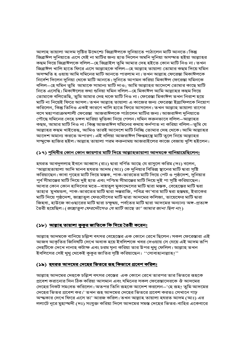আলাহ তায়ালা আদম সৃষ্টির উদ্দেশ্যে জিব্রাঈলকে দুনিয়াতে পাঠালেন মাটি আনতে। কিন্তু জিব্রাঈল দুনিয়াতে এসে যেই না মাটির জন্য হাত দিলেন অমনি দুনিয়া অসম্মত হইয়া আল্লাহর কছম দিয়ে জিব্রাঈলকে বলিল–হে জিব্রাইল তুমি আমার দেহ হইতে কোন মাটি নিও না। তখন জিব্রাঈল খালি হাতে ফিরে এসে আল্লাহকে বলিল–হে আল্লাহ তায়ালা তোমার কছম দিয়ে যমিন অসম্মতি হ ওয়ায় আমি যমিনের মাটি আনতে পারলাম না। তখন আল্লাহ ফেরেস্তা মিকাঈলকে নির্দেশ দিলেন দুনিয়া থেকে মাটি আনতে। দুনিতে আগমন করিয়া মিকাঈল ফেরেস্তা যমিনকে বলিল–হে যমিন তুমি আমাকে সামান্য মাটি দাও; আমি আল্লাহর আদেশে তোমার কাছে মাটি নিতে এসেছি। মিকাঈলের কথা শুনিয়া যমিন বলিল—হে মিকাঈল আমি আল্লাহর কছম দিয়ে তোমাকে বলিতেছি, তুমি আমার দেহ থকে মাটি নিও না। ফেরেস্তা মিকাঈল তখন নিরাশ হয়ে মাটি না নিয়েই ফিরে আসল। তখন আল্লাহ তায়ালা এ কাজের জন্য ফেরেস্তা ইস্রাফিলকে নিয়োগ করিলেন, কিন্তু তিনিও একই কারণে খালি হাতে ফিরে আসলেন। তখন আল্লাহ তায়ালা রাগের বসে মহাপরাক্রমশালী ফেরেস্তা আজরাঈলকে পাঠালেন মাটির জন্য। আজরাঈল দুনিয়াতে পৌছে যমিনের দেহে চঙ্গল মারিয়া মৃত্তিকা নিয়ে গেলন। যমিন করুনভাবে বলিল–আল্লাহর কছম, আমার মাটি নিও না। কিন্তু আজরাঈল যমিনের কথায় কর্নপাত না করিয়া বলিল–তুমি যে আল্লাহর কছম খাইতেছ, আমিও তারই আদেশে মাটি নিচ্ছি তোমার দেহ থেকে। আমি আল্লাহর আদেশ অমান্য করতে অপারগ। এই বলিয়া আজরাঈল ক্ষিপ্তহস্থে মাটি তুলে নিয়ে আল্লাহর সম্মুক্ষে হাজির হইল। আল্লাহ তায়ালা পরম করুনাময় আজরাইলের কাজে বেজায় খুশি হইলেন।

### (১৭) <u>পৃথিবীর কোন কোন জায়গার মাটি দিয়ে আল্লাহতায়ালা আদমকে বানিয়ায়েছিলেন!</u>

হযরত আবদুললাহ ইবনে আব্বাস (রাঃ) দ্বারা বর্ণিত আছে যে রাসুলে করিম (দঃ) বলেন, 'আল্লাহতায়ালা আদি মানব হযরত আদম (আঃ) কে দুনিয়ার বিভিন্ন স্থানের মাটি দ্বারা সৃষ্টি করিয়াছেন। কাবা গৃহের মাটি দিয়ে মস্তক, পাক-ভারতের মাটি দিয়ে পেট ও পৃষ্ঠদেশ, দুনিয়ার পুর্ব সীমান্তের মাটি দিয়ে দুই হাত এবং পশ্চিম সীমান্তের মাটি দিয়ে দুই পা সৃষ্টি করিয়াছেন। আবার কোন কোন হাদিসের মতে—বায়তুল মুকাদ্দেসের মাটি দ্বারা মস্তক, বেহেস্তের মাটি দ্বরা তাহার মুখমন্ডল, পাক-ভারতের মাটি দ্বারা দন্তরাজি, পবিত্র কা'বার মাটি দ্বরা হস্তদ্বয়, ইরাকের মাটি দিয়ে পৃষ্ঠদেশ, জান্নাতুল ফেরদৌসের মাটি দ্বারা আদমের কলিজা, তায়েফের মাটি দ্বারা জিহবা, হাউজে কাওছারের মাটি দ্বারা চক্ষুদ্বয়, পর্বতের মাটি দ্বারা আদমের অন্যান্য অঙ্গ-প্রত্যঙ্গ তৈরী হয়েছিল। (*জান্নাতুল ফেরদৌসেও যে মাটি আছে তা' আমার জানা ছিল না*!)

### <u>(১৮) আল্লাহ তায়ালা কুকুর জাতিকে কি দিয়ে তৈরী করেন!</u>

আল্লাহ আদমকে বানিয়ে চল্লিশ বৎসর বেহেস্তের এক কোনে রেখে ছিলেন। সকল ফেরেস্তারা এই আজব আকৃতির জিনিষটি দেখে অবাক হয়ে ইবলিশকে খবর দেওয়ায় সে যেয়ে এই আদম রূপি দেহটিকে দেখে নানাহ কটাক্ষ এবং চরম ঘৃনা করিয়া তার উপর থুথু ফেলিল। আল্লাহ তখন ইবলিসের সেই থুথু থেকেই কুকুর জাতির সৃষ্টি করিয়াছেন। ''সোবাহানাল্লাহ!''

### <u>(১৯) হযরত আদমের দেহের ভিতরে রূহ কিভাবে প্রবেশ করিল।</u>

আল্লাহ আদমের দেহকে চল্লিশ বৎসর বেস্তের এক কোনে রেখে তারপর তার ভিতরে রূহকে প্রবেশ করানোর দিন ঠিক করিয়া আসমান এবং যমিনের সকল ফেরেস্তাদেরকে ঔ আদমের দেহের নিকট সমবেত করিলেন। অতপর তিনি রূহকে আদেশ করলেন–'হে রূহ! তুমি আদমের দেহের ভিতর প্রবেশ কর।' তখন রূহ আদমের দেহের ভিতরে প্রবেশ করতঃ সেখানে গাঢ় অন্দ্ধকার দেখে ফিরে এসে তা' আরজ করিল। তখন আল্লাহ তায়ালা হযরত আদম (আঃ) এর ললাটে নূরে মুহাম্মদী (দঃ) সংযুক্ত করিয়া দিলে আদমের সমস্ত দেহের ভিতর-বাহির একেবারে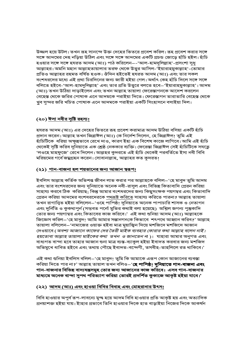উজ্জল হয়ে উটল। তখন রূহ সানন্দে উক্ত দেহের ভিতরে প্রবেশ করিল। রূহ প্রবেশ করার সঙ্গে সঙ্গে আদমের দেহ নড়িয়া উঠিল এবং সঙ্গে সঙ্গে আদমের একটি প্রচন্ড জোড়ে হাঁচি হইল। হাঁচি হওয়ার সঙ্গে সঙ্গে হযরত আদম (আঃ) পাঠ করিলেন–-'আল-হামদুলিল্লাহ'-প্রসংশা সুধু আল্লাহর। অমনি মহান আল্লাহতায়ালার তরফ থেকে উত্তুর আসিল-'ইয়ারাহমুকাল্লাহ'-তোমার প্রতিও আল্লাহর রহমত বর্ষিত হওক। ঔদিন হইতেই হযরত আদম (আঃ) এবং তার সকল বংশধরদের মধ্যে এই প্রথা চিরদিনের জন্য জারী হইয়া গেল। অর্থাৎ কেহ হাঁচি দিলে সঙ্গে সঙ্গে বলিতে হইবে-'আল-হামদুলিল্লাহ' এবং তার প্রতি উত্তুরে বলতে হবে–'ইয়ারাহমুকাল্লাহ'। আদম (আঃ) তখন উঠিয়া দাড়াইলেন এবং তখন আল্লাহ তায়ালা ফেরেস্তাগনকে আদেশ করলেন বেহেস্ত থেকে জরির পোষাক এনে আদমকে পরাইয়া দিতে। ফেরেস্তাগন তারাতারি বেহেস্ত থেকে খুব সুন্দর জরি খচিত পোষাক এনে আদমকে পরাইয়া একটি সিংহাসনে বসাইয়া দিল।

# <u>(২০) ঈসা নবীর সৃষ্টি রহস্য।</u>

হযরত আদম (আঃ) এর দেহের ভিতরে রূহ প্রবেশ করামাত্র আদম উঠিয়া বসিয়া একটি হাঁচি প্রদান করেন। আল্লাহ তখন জিব্রাঈল (আঃ) কে নির্দেশ দিলেন, হে জিব্রাঈল! তুমি এই হাঁচিটিকে ধরিয়া অক্ষুন্নভাবে রেখে দাও, কারণ ইহা এক বিশেষ কাজে লাগিবে। আমি এই হাঁচি থেকেই সৃষ্টি করিব দুনিয়াতে এক শ্রেষ্ঠ নেককার ব্যক্তি। ফেরেস্তা জিব্রাঈল সেই হাঁচিটিকে সযত্নে 'লওহে মাহফুজে' রেখে দিলেন। আল্লহর কুদরতে এই হাঁচি থেকেই পরবর্তিতে ইসা নবী বিবি মরিয়মের গর্বে জম্মগ্রহন করেন। সোবানাল্লাহ, আল্লাহর কত কুদরত!

### (২১) <u>গান-বাজনা হল শয়তানের জন্য আজান স্বরূপ।</u>

ইবলিস আল্লাহ কর্তিক অভিশপ্ত জীবন লাভ করার পর আল্লাহকে বলিল–'হে মাবুদ তুমি আদম এবং তার বংশধরদের জন্য দুনিয়াতে অনেক নবী-রাসুল এবং বিভিন্ন কিতাবাদি প্রেরন করিয়া সাহায্য করবে ঠিক করিয়াছ; কিন্তু আমার বংশধরদের জন্য কিছুসংক্ষক পয়গম্বর এবং কিতাবাদি প্রেরন করিয়া আদমের বংশধরদেরকে <u>পথভষ্ট করিতে</u> সাহায্য করিতে পারনা? আল্লাহ তায়ালা তখন রাগান্বিত হইয়া বলিলেন–'ওহে পাপিষ্ঠ! দুনিয়াতে অনেক পাপাচারি শাসক ও নেতাগন এবং দুর্নিতি ও কুকথাপুর্ন (সম্ভবত পর্নো মুভির কথাই বলা হয়েছে) অশ্লিল জগন্য পুস্তুকাদি তোর জন্য পয়গাম্বর এবং কিতাবের কাজ করিবে।' এই কথা শুনিয়া আদম (আঃ) আল্লাহকে জিজ্ঞেস করিল–'হে মাবুদ! আমি আমার সন্তানগনকে কিভাবে শৎপথে আহ্বান করিব?' আল্লাহ তায়ালা বলিলেন–'নামাজের ওয়াক্ত হইবা মাত্র মুয়াজ্বিন দিয়ে মশজিদে মশজিদে আজান দেওয়াবে ( অবশ্য আজানে কাফের দের তৈরী মাইক ব্যবহার কোরার কথা আল্লাহ বলেন নাই। *হয়তোবা আল্লাহ তায়ালা মাইকের কথা তখন ও জানতেন ন*)। যাহারা আমার অনুগত এবং বাধ্যগত বান্দা হবে তাহার আজান শুনা মাত্র ব্যস্ত-ব্যাকুল হইয়া ইবাদত করবার জন্য মশজিদ অভিমুখে ধাবিত হইবে এবং তথায় পৌছে ইবাদত-বন্দেগী, তসবীহ-তাহলিলে রত থাকিবে।'

এই কথা শুনিয়া ইবলিস বলিল–'হে মাবুদ! তুমি কি আমাকে এরূপ কোন আজানের ব্যবস্তা করিয়া দিতে পার না?' আল্লাহ তায়াল তখন বলিও—'**হে পাপিষ্ঠ! দুনিয়াতে গান-বাজনা এবং** গান-বাজনার বিভিন্ন বাদ্যযন্ত্রসমূ্হ তোর জন্য আজানের কাজ করিবে। এসব গান-বাজনার মাধ্যমে অনেক বান্দা সুপথ পরিত্যাগ করিয়া তোরই প্রদর্শিত কুকাজে আকৃষ্ট হইয়া যাবে।'

### <u>(২২) আদম (আঃ) এবং হাওয়া বিবির বিবাহ এবং মোহরানার উৎস।</u>

বিবি হাওয়ার অপুর্ব রূপ-লাবন্যে মুগ্দ্ব হয়ে আদম বিবি হাওয়ার প্রতি আকৃষ্ট হয় এবং অত্যাদিক প্রনয়াশক্ত হইয়া যায়। ইাহার প্রভাবে তিনি হাওয়ার দিকে হাত বাড়াইয়া নিজের দিকে আকর্ষন